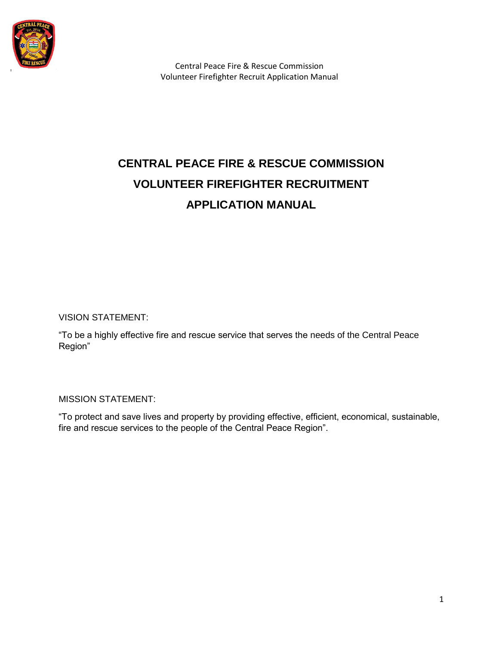

# **CENTRAL PEACE FIRE & RESCUE COMMISSION VOLUNTEER FIREFIGHTER RECRUITMENT APPLICATION MANUAL**

VISION STATEMENT:

"To be a highly effective fire and rescue service that serves the needs of the Central Peace Region"

MISSION STATEMENT:

"To protect and save lives and property by providing effective, efficient, economical, sustainable, fire and rescue services to the people of the Central Peace Region".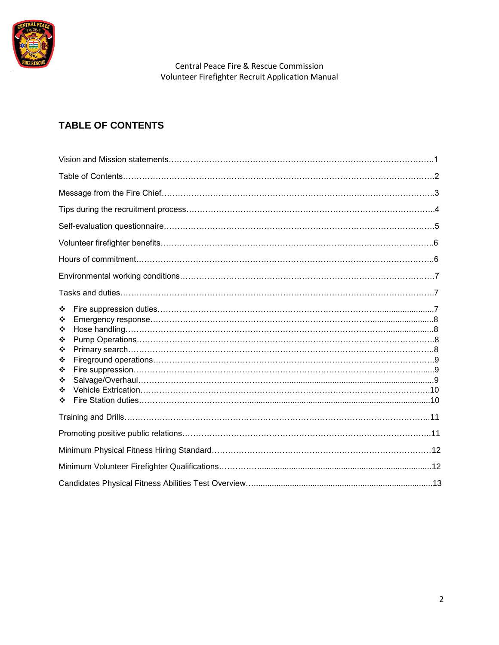

# **TABLE OF CONTENTS**

| ❖<br>❖<br>❖<br>❖<br>❖<br>❖<br>❖<br>❖<br>❖<br>❖ |  |
|------------------------------------------------|--|
|                                                |  |
|                                                |  |
|                                                |  |
|                                                |  |
|                                                |  |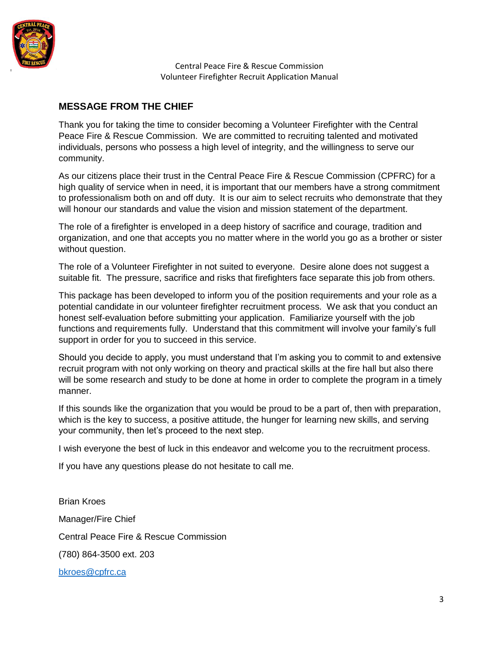

## **MESSAGE FROM THE CHIEF**

Thank you for taking the time to consider becoming a Volunteer Firefighter with the Central Peace Fire & Rescue Commission. We are committed to recruiting talented and motivated individuals, persons who possess a high level of integrity, and the willingness to serve our community.

As our citizens place their trust in the Central Peace Fire & Rescue Commission (CPFRC) for a high quality of service when in need, it is important that our members have a strong commitment to professionalism both on and off duty. It is our aim to select recruits who demonstrate that they will honour our standards and value the vision and mission statement of the department.

The role of a firefighter is enveloped in a deep history of sacrifice and courage, tradition and organization, and one that accepts you no matter where in the world you go as a brother or sister without question.

The role of a Volunteer Firefighter in not suited to everyone. Desire alone does not suggest a suitable fit. The pressure, sacrifice and risks that firefighters face separate this job from others.

This package has been developed to inform you of the position requirements and your role as a potential candidate in our volunteer firefighter recruitment process. We ask that you conduct an honest self-evaluation before submitting your application. Familiarize yourself with the job functions and requirements fully. Understand that this commitment will involve your family's full support in order for you to succeed in this service.

Should you decide to apply, you must understand that I'm asking you to commit to and extensive recruit program with not only working on theory and practical skills at the fire hall but also there will be some research and study to be done at home in order to complete the program in a timely manner.

If this sounds like the organization that you would be proud to be a part of, then with preparation, which is the key to success, a positive attitude, the hunger for learning new skills, and serving your community, then let's proceed to the next step.

I wish everyone the best of luck in this endeavor and welcome you to the recruitment process.

If you have any questions please do not hesitate to call me.

Brian Kroes Manager/Fire Chief Central Peace Fire & Rescue Commission (780) 864-3500 ext. 203 [bkroes@cpfrc.ca](mailto:bkroes@cpfrc.ca)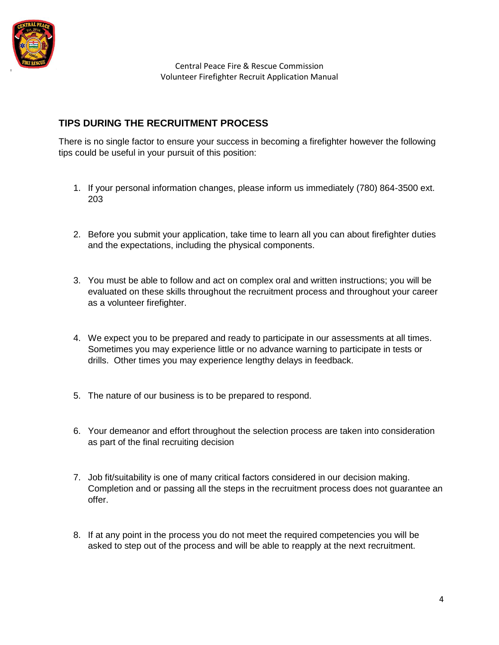

# **TIPS DURING THE RECRUITMENT PROCESS**

There is no single factor to ensure your success in becoming a firefighter however the following tips could be useful in your pursuit of this position:

- 1. If your personal information changes, please inform us immediately (780) 864-3500 ext. 203
- 2. Before you submit your application, take time to learn all you can about firefighter duties and the expectations, including the physical components.
- 3. You must be able to follow and act on complex oral and written instructions; you will be evaluated on these skills throughout the recruitment process and throughout your career as a volunteer firefighter.
- 4. We expect you to be prepared and ready to participate in our assessments at all times. Sometimes you may experience little or no advance warning to participate in tests or drills. Other times you may experience lengthy delays in feedback.
- 5. The nature of our business is to be prepared to respond.
- 6. Your demeanor and effort throughout the selection process are taken into consideration as part of the final recruiting decision
- 7. Job fit/suitability is one of many critical factors considered in our decision making. Completion and or passing all the steps in the recruitment process does not guarantee an offer.
- 8. If at any point in the process you do not meet the required competencies you will be asked to step out of the process and will be able to reapply at the next recruitment.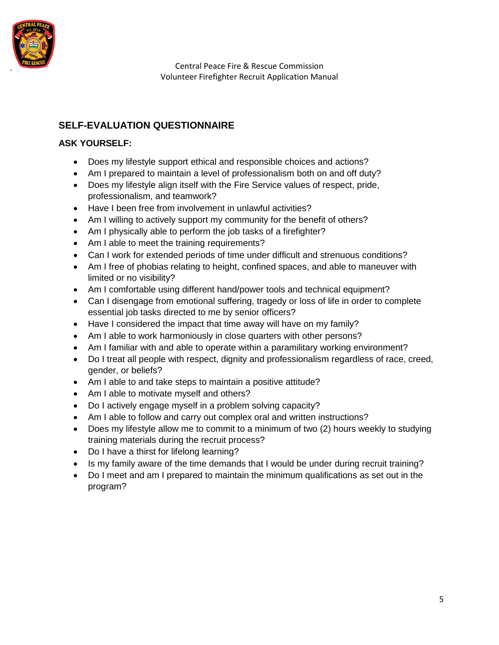

# **SELF-EVALUATION QUESTIONNAIRE**

## **ASK YOURSELF:**

- Does my lifestyle support ethical and responsible choices and actions?
- Am I prepared to maintain a level of professionalism both on and off duty?
- Does my lifestyle align itself with the Fire Service values of respect, pride, professionalism, and teamwork?
- Have I been free from involvement in unlawful activities?
- Am I willing to actively support my community for the benefit of others?
- Am I physically able to perform the job tasks of a firefighter?
- Am I able to meet the training requirements?
- Can I work for extended periods of time under difficult and strenuous conditions?
- Am I free of phobias relating to height, confined spaces, and able to maneuver with limited or no visibility?
- Am I comfortable using different hand/power tools and technical equipment?
- Can I disengage from emotional suffering, tragedy or loss of life in order to complete essential job tasks directed to me by senior officers?
- Have I considered the impact that time away will have on my family?
- Am I able to work harmoniously in close quarters with other persons?
- Am I familiar with and able to operate within a paramilitary working environment?
- Do I treat all people with respect, dignity and professionalism regardless of race, creed, gender, or beliefs?
- Am I able to and take steps to maintain a positive attitude?
- Am I able to motivate myself and others?
- Do I actively engage myself in a problem solving capacity?
- Am I able to follow and carry out complex oral and written instructions?
- Does my lifestyle allow me to commit to a minimum of two (2) hours weekly to studying training materials during the recruit process?
- Do I have a thirst for lifelong learning?
- Is my family aware of the time demands that I would be under during recruit training?
- Do I meet and am I prepared to maintain the minimum qualifications as set out in the program?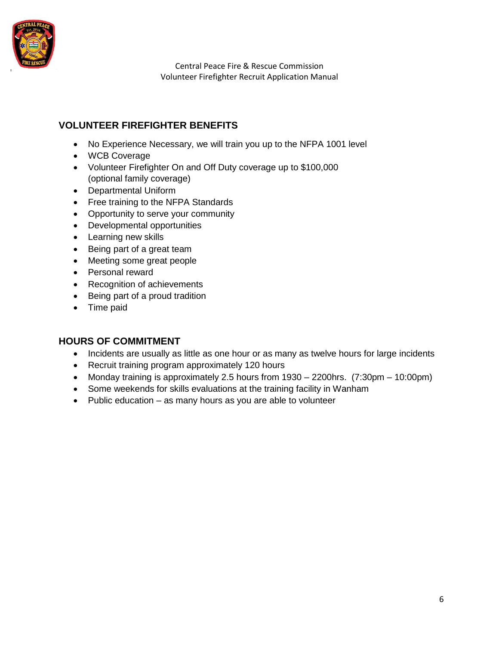

## **VOLUNTEER FIREFIGHTER BENEFITS**

- No Experience Necessary, we will train you up to the NFPA 1001 level
- WCB Coverage
- Volunteer Firefighter On and Off Duty coverage up to \$100,000 (optional family coverage)
- Departmental Uniform
- Free training to the NFPA Standards
- Opportunity to serve your community
- Developmental opportunities
- Learning new skills
- Being part of a great team
- Meeting some great people
- Personal reward
- Recognition of achievements
- Being part of a proud tradition
- Time paid

## **HOURS OF COMMITMENT**

- Incidents are usually as little as one hour or as many as twelve hours for large incidents
- Recruit training program approximately 120 hours
- Monday training is approximately 2.5 hours from 1930 2200hrs. (7:30pm 10:00pm)
- Some weekends for skills evaluations at the training facility in Wanham
- Public education as many hours as you are able to volunteer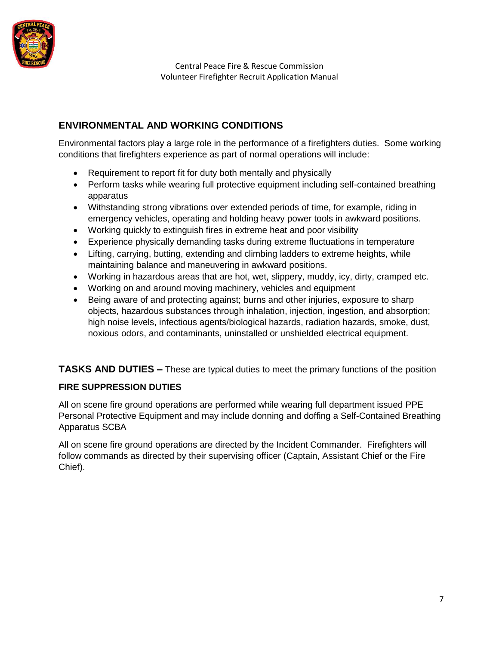

# **ENVIRONMENTAL AND WORKING CONDITIONS**

Environmental factors play a large role in the performance of a firefighters duties. Some working conditions that firefighters experience as part of normal operations will include:

- Requirement to report fit for duty both mentally and physically
- Perform tasks while wearing full protective equipment including self-contained breathing apparatus
- Withstanding strong vibrations over extended periods of time, for example, riding in emergency vehicles, operating and holding heavy power tools in awkward positions.
- Working quickly to extinguish fires in extreme heat and poor visibility
- Experience physically demanding tasks during extreme fluctuations in temperature
- Lifting, carrying, butting, extending and climbing ladders to extreme heights, while maintaining balance and maneuvering in awkward positions.
- Working in hazardous areas that are hot, wet, slippery, muddy, icy, dirty, cramped etc.
- Working on and around moving machinery, vehicles and equipment
- Being aware of and protecting against; burns and other injuries, exposure to sharp objects, hazardous substances through inhalation, injection, ingestion, and absorption; high noise levels, infectious agents/biological hazards, radiation hazards, smoke, dust, noxious odors, and contaminants, uninstalled or unshielded electrical equipment.

**TASKS AND DUTIES –** These are typical duties to meet the primary functions of the position

## **FIRE SUPPRESSION DUTIES**

All on scene fire ground operations are performed while wearing full department issued PPE Personal Protective Equipment and may include donning and doffing a Self-Contained Breathing Apparatus SCBA

All on scene fire ground operations are directed by the Incident Commander. Firefighters will follow commands as directed by their supervising officer (Captain, Assistant Chief or the Fire Chief).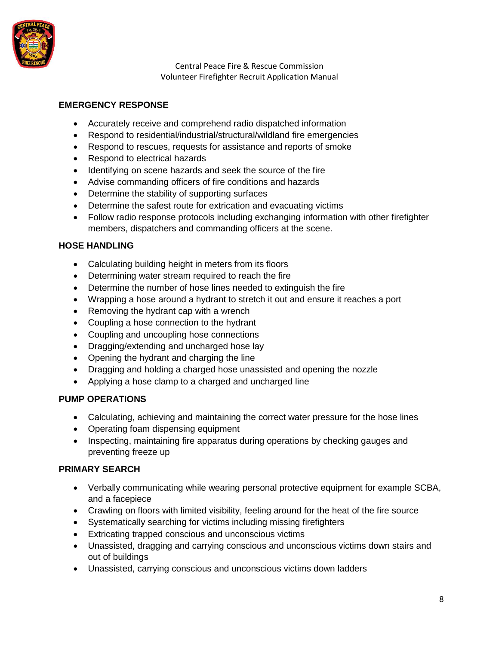

### **EMERGENCY RESPONSE**

- Accurately receive and comprehend radio dispatched information
- Respond to residential/industrial/structural/wildland fire emergencies
- Respond to rescues, requests for assistance and reports of smoke
- Respond to electrical hazards
- Identifying on scene hazards and seek the source of the fire
- Advise commanding officers of fire conditions and hazards
- Determine the stability of supporting surfaces
- Determine the safest route for extrication and evacuating victims
- Follow radio response protocols including exchanging information with other firefighter members, dispatchers and commanding officers at the scene.

#### **HOSE HANDLING**

- Calculating building height in meters from its floors
- Determining water stream required to reach the fire
- Determine the number of hose lines needed to extinguish the fire
- Wrapping a hose around a hydrant to stretch it out and ensure it reaches a port
- Removing the hydrant cap with a wrench
- Coupling a hose connection to the hydrant
- Coupling and uncoupling hose connections
- Dragging/extending and uncharged hose lay
- Opening the hydrant and charging the line
- Dragging and holding a charged hose unassisted and opening the nozzle
- Applying a hose clamp to a charged and uncharged line

## **PUMP OPERATIONS**

- Calculating, achieving and maintaining the correct water pressure for the hose lines
- Operating foam dispensing equipment
- Inspecting, maintaining fire apparatus during operations by checking gauges and preventing freeze up

#### **PRIMARY SEARCH**

- Verbally communicating while wearing personal protective equipment for example SCBA, and a facepiece
- Crawling on floors with limited visibility, feeling around for the heat of the fire source
- Systematically searching for victims including missing firefighters
- Extricating trapped conscious and unconscious victims
- Unassisted, dragging and carrying conscious and unconscious victims down stairs and out of buildings
- Unassisted, carrying conscious and unconscious victims down ladders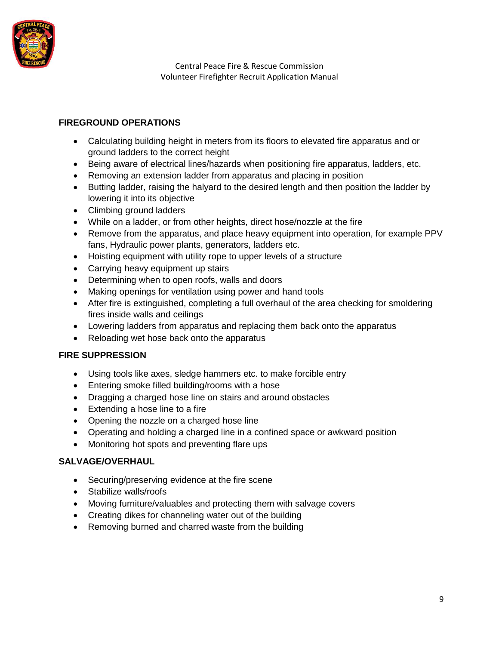

## **FIREGROUND OPERATIONS**

- Calculating building height in meters from its floors to elevated fire apparatus and or ground ladders to the correct height
- Being aware of electrical lines/hazards when positioning fire apparatus, ladders, etc.
- Removing an extension ladder from apparatus and placing in position
- Butting ladder, raising the halyard to the desired length and then position the ladder by lowering it into its objective
- Climbing ground ladders
- While on a ladder, or from other heights, direct hose/nozzle at the fire
- Remove from the apparatus, and place heavy equipment into operation, for example PPV fans, Hydraulic power plants, generators, ladders etc.
- Hoisting equipment with utility rope to upper levels of a structure
- Carrying heavy equipment up stairs
- Determining when to open roofs, walls and doors
- Making openings for ventilation using power and hand tools
- After fire is extinguished, completing a full overhaul of the area checking for smoldering fires inside walls and ceilings
- Lowering ladders from apparatus and replacing them back onto the apparatus
- Reloading wet hose back onto the apparatus

## **FIRE SUPPRESSION**

- Using tools like axes, sledge hammers etc. to make forcible entry
- Entering smoke filled building/rooms with a hose
- Dragging a charged hose line on stairs and around obstacles
- Extending a hose line to a fire
- Opening the nozzle on a charged hose line
- Operating and holding a charged line in a confined space or awkward position
- Monitoring hot spots and preventing flare ups

## **SALVAGE/OVERHAUL**

- Securing/preserving evidence at the fire scene
- Stabilize walls/roofs
- Moving furniture/valuables and protecting them with salvage covers
- Creating dikes for channeling water out of the building
- Removing burned and charred waste from the building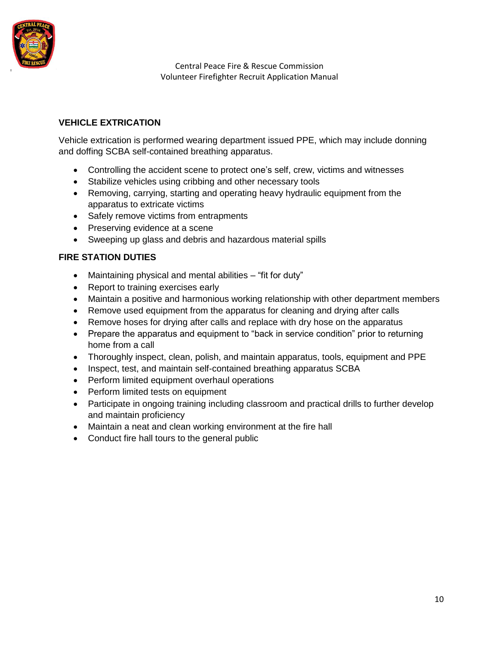

## **VEHICLE EXTRICATION**

Vehicle extrication is performed wearing department issued PPE, which may include donning and doffing SCBA self-contained breathing apparatus.

- Controlling the accident scene to protect one's self, crew, victims and witnesses
- Stabilize vehicles using cribbing and other necessary tools
- Removing, carrying, starting and operating heavy hydraulic equipment from the apparatus to extricate victims
- Safely remove victims from entrapments
- Preserving evidence at a scene
- Sweeping up glass and debris and hazardous material spills

## **FIRE STATION DUTIES**

- Maintaining physical and mental abilities "fit for duty"
- Report to training exercises early
- Maintain a positive and harmonious working relationship with other department members
- Remove used equipment from the apparatus for cleaning and drying after calls
- Remove hoses for drying after calls and replace with dry hose on the apparatus
- Prepare the apparatus and equipment to "back in service condition" prior to returning home from a call
- Thoroughly inspect, clean, polish, and maintain apparatus, tools, equipment and PPE
- Inspect, test, and maintain self-contained breathing apparatus SCBA
- Perform limited equipment overhaul operations
- Perform limited tests on equipment
- Participate in ongoing training including classroom and practical drills to further develop and maintain proficiency
- Maintain a neat and clean working environment at the fire hall
- Conduct fire hall tours to the general public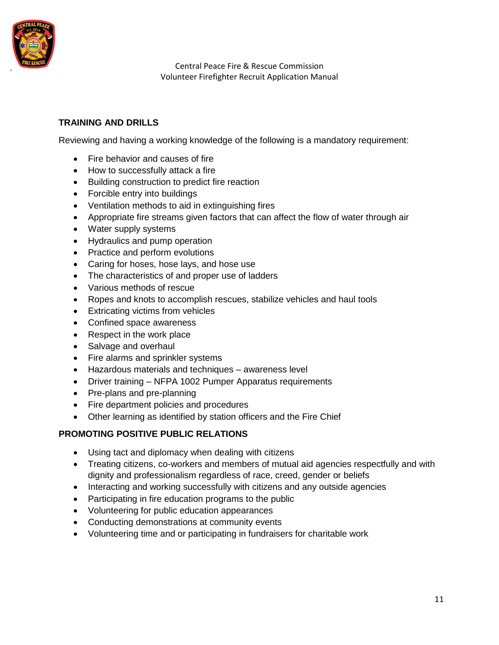

## **TRAINING AND DRILLS**

Reviewing and having a working knowledge of the following is a mandatory requirement:

- Fire behavior and causes of fire
- How to successfully attack a fire
- Building construction to predict fire reaction
- Forcible entry into buildings
- Ventilation methods to aid in extinguishing fires
- Appropriate fire streams given factors that can affect the flow of water through air
- Water supply systems
- Hydraulics and pump operation
- Practice and perform evolutions
- Caring for hoses, hose lays, and hose use
- The characteristics of and proper use of ladders
- Various methods of rescue
- Ropes and knots to accomplish rescues, stabilize vehicles and haul tools
- Extricating victims from vehicles
- Confined space awareness
- Respect in the work place
- Salvage and overhaul
- Fire alarms and sprinkler systems
- Hazardous materials and techniques awareness level
- Driver training NFPA 1002 Pumper Apparatus requirements
- Pre-plans and pre-planning
- Fire department policies and procedures
- Other learning as identified by station officers and the Fire Chief

#### **PROMOTING POSITIVE PUBLIC RELATIONS**

- Using tact and diplomacy when dealing with citizens
- Treating citizens, co-workers and members of mutual aid agencies respectfully and with dignity and professionalism regardless of race, creed, gender or beliefs
- Interacting and working successfully with citizens and any outside agencies
- Participating in fire education programs to the public
- Volunteering for public education appearances
- Conducting demonstrations at community events
- Volunteering time and or participating in fundraisers for charitable work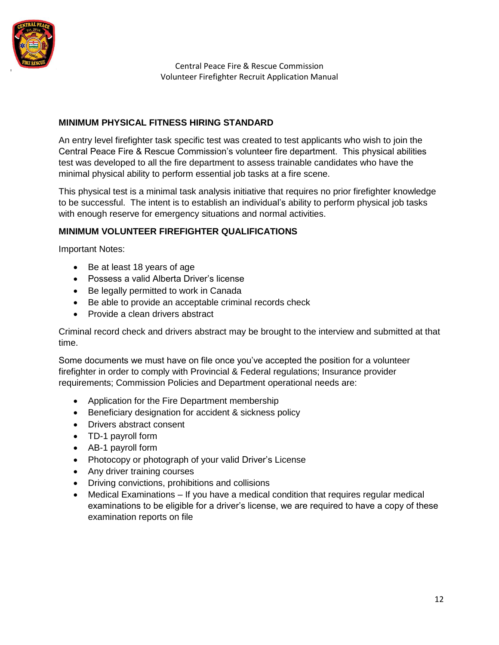

#### **MINIMUM PHYSICAL FITNESS HIRING STANDARD**

An entry level firefighter task specific test was created to test applicants who wish to join the Central Peace Fire & Rescue Commission's volunteer fire department. This physical abilities test was developed to all the fire department to assess trainable candidates who have the minimal physical ability to perform essential job tasks at a fire scene.

This physical test is a minimal task analysis initiative that requires no prior firefighter knowledge to be successful. The intent is to establish an individual's ability to perform physical job tasks with enough reserve for emergency situations and normal activities.

#### **MINIMUM VOLUNTEER FIREFIGHTER QUALIFICATIONS**

Important Notes:

- Be at least 18 years of age
- Possess a valid Alberta Driver's license
- Be legally permitted to work in Canada
- Be able to provide an acceptable criminal records check
- Provide a clean drivers abstract

Criminal record check and drivers abstract may be brought to the interview and submitted at that time.

Some documents we must have on file once you've accepted the position for a volunteer firefighter in order to comply with Provincial & Federal regulations; Insurance provider requirements; Commission Policies and Department operational needs are:

- Application for the Fire Department membership
- Beneficiary designation for accident & sickness policy
- Drivers abstract consent
- TD-1 payroll form
- AB-1 payroll form
- Photocopy or photograph of your valid Driver's License
- Any driver training courses
- Driving convictions, prohibitions and collisions
- Medical Examinations If you have a medical condition that requires regular medical examinations to be eligible for a driver's license, we are required to have a copy of these examination reports on file